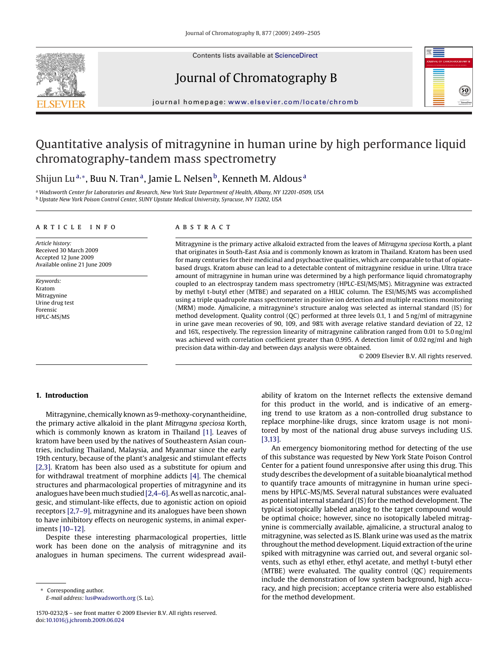

Contents lists available at [ScienceDirect](http://www.sciencedirect.com/science/journal/15700232)

## Journal of Chromatography B



journal homepage: [www.elsevier.com/locate/chromb](http://www.elsevier.com/locate/chromb)

# Quantitative analysis of mitragynine in human urine by high performance liquid chromatography-tandem mass spectrometry

## Shijun Lu<sup>a,∗</sup>, Buu N. Tran<sup>a</sup>, Jamie L. Nelsen<sup>b</sup>, Kenneth M. Aldous<sup>a</sup>

<sup>a</sup> *Wadsworth Center for Laboratories and Research, New York State Department of Health, Albany, NY 12201-0509, USA* <sup>b</sup> *Upstate New York Poison Control Center, SUNY Upstate Medical University, Syracuse, NY 13202, USA*

#### article info

*Article history:* Received 30 March 2009 Accepted 12 June 2009 Available online 21 June 2009

*Keywords:* Kratom Mitragynine Urine drug test Forensic HPLC-MS/MS

## **ABSTRACT**

Mitragynine is the primary active alkaloid extracted from the leaves of *Mitragyna speciosa* Korth, a plant that originates in South-East Asia and is commonly known as kratom in Thailand. Kratom has been used for many centuries for their medicinal and psychoactive qualities, which are comparable to that of opiatebased drugs. Kratom abuse can lead to a detectable content of mitragynine residue in urine. Ultra trace amount of mitragynine in human urine was determined by a high performance liquid chromatography coupled to an electrospray tandem mass spectrometry (HPLC-ESI/MS/MS). Mitragynine was extracted by methyl t-butyl ether (MTBE) and separated on a HILIC column. The ESI/MS/MS was accomplished using a triple quadrupole mass spectrometer in positive ion detection and multiple reactions monitoring (MRM) mode. Ajmalicine, a mitragynine's structure analog was selected as internal standard (IS) for method development. Quality control (QC) performed at three levels 0.1, 1 and 5 ng/ml of mitragynine in urine gave mean recoveries of 90, 109, and 98% with average relative standard deviation of 22, 12 and 16%, respectively. The regression linearity of mitragynine calibration ranged from 0.01 to 5.0 ng/ml was achieved with correlation coefficient greater than 0.995. A detection limit of 0.02 ng/ml and high precision data within-day and between days analysis were obtained.

© 2009 Elsevier B.V. All rights reserved.

## **1. Introduction**

Mitragynine, chemically known as 9-methoxy-corynantheidine, the primary active alkaloid in the plant *Mitragyna speciosa* Korth, which is commonly known as kratom in Thailand [\[1\].](#page-6-0) Leaves of kratom have been used by the natives of Southeastern Asian countries, including Thailand, Malaysia, and Myanmar since the early 19th century, because of the plant's analgesic and stimulant effects [\[2,3\].](#page-6-0) Kratom has been also used as a substitute for opium and for withdrawal treatment of morphine addicts [\[4\]. T](#page-6-0)he chemical structures and pharmacological properties of mitragynine and its analogues have been much studied[\[2,4–6\]. A](#page-6-0)s well as narcotic, analgesic, and stimulant-like effects, due to agonistic action on opioid receptors [\[2,7–9\], m](#page-6-0)itragynine and its analogues have been shown to have inhibitory effects on neurogenic systems, in animal experiments [\[10–12\].](#page-6-0)

Despite these interesting pharmacological properties, little work has been done on the analysis of mitragynine and its analogues in human specimens. The current widespread avail-

Corresponding author. *E-mail address:* [lus@wadsworth.org](mailto:lus@wadsworth.org) (S. Lu). ability of kratom on the Internet reflects the extensive demand for this product in the world, and is indicative of an emerging trend to use kratom as a non-controlled drug substance to replace morphine-like drugs, since kratom usage is not monitored by most of the national drug abuse surveys including U.S. [\[3,13\].](#page-6-0)

An emergency biomonitoring method for detecting of the use of this substance was requested by New York State Poison Control Center for a patient found unresponsive after using this drug. This study describes the development of a suitable bioanalytical method to quantify trace amounts of mitragynine in human urine specimens by HPLC-MS/MS. Several natural substances were evaluated as potential internal standard (IS) for the method development. The typical isotopically labeled analog to the target compound would be optimal choice; however, since no isotopically labeled mitragynine is commercially available, ajmalicine, a structural analog to mitragynine, was selected as IS. Blank urine was used as the matrix throughout the method development. Liquid extraction of the urine spiked with mitragynine was carried out, and several organic solvents, such as ethyl ether, ethyl acetate, and methyl t-butyl ether (MTBE) were evaluated. The quality control (QC) requirements include the demonstration of low system background, high accuracy, and high precision; acceptance criteria were also established for the method development.

<sup>1570-0232/\$ –</sup> see front matter © 2009 Elsevier B.V. All rights reserved. doi:[10.1016/j.jchromb.2009.06.024](dx.doi.org/10.1016/j.jchromb.2009.06.024)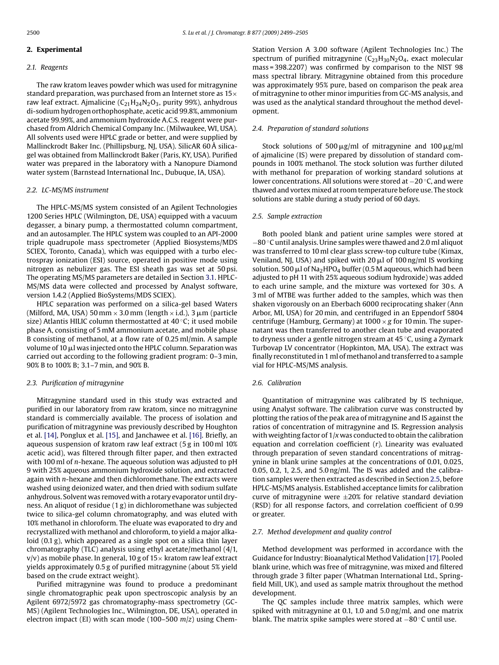## <span id="page-1-0"></span>**2. Experimental**

## *2.1. Reagents*

The raw kratom leaves powder which was used for mitragynine standard preparation, was purchased from an Internet store as  $15\times$ raw leaf extract. Ajmalicine  $(C_{21}H_{24}N_2O_3$ , purity 99%), anhydrous di-sodium hydrogen orthophosphate, acetic acid 99.8%, ammonium acetate 99.99%, and ammonium hydroxide A.C.S. reagent were purchased from Aldrich Chemical Company Inc. (Milwaukee, WI, USA). All solvents used were HPLC grade or better, and were supplied by Mallinckrodt Baker Inc. (Phillipsburg, NJ, USA). SilicAR 60 Å silicagel was obtained from Mallinckrodt Baker (Paris, KY, USA). Purified water was prepared in the laboratory with a Nanopure Diamond water system (Barnstead International Inc., Dubuque, IA, USA).

## *2.2. LC-MS/MS instrument*

The HPLC-MS/MS system consisted of an Agilent Technologies 1200 Series HPLC (Wilmington, DE, USA) equipped with a vacuum degasser, a binary pump, a thermostatted column compartment, and an autosampler. The HPLC system was coupled to an API-2000 triple quadrupole mass spectrometer (Applied Biosystems/MDS SCIEX, Toronto, Canada), which was equipped with a turbo electrospray ionization (ESI) source, operated in positive mode using nitrogen as nebulizer gas. The ESI sheath gas was set at 50 psi. The operating MS/MS parameters are detailed in Section [3.1. H](#page-2-0)PLC-MS/MS data were collected and processed by Analyst software, version 1.4.2 (Applied BioSystems/MDS SCIEX).

HPLC separation was performed on a silica-gel based Waters (Milford, MA, USA)  $50\,\mathrm{mm}\times3.0\,\mathrm{mm}$  (length  $\times$  i.d.),  $3\,\mathrm{\mu m}$  (particle size) Atlantis HILIC column thermostatted at 40 ◦C; it used mobile phase A, consisting of 5 mM ammonium acetate, and mobile phase B consisting of methanol, at a flow rate of 0.25 ml/min. A sample volume of 10  $\mu$ l was injected onto the HPLC column. Separation was carried out according to the following gradient program: 0–3 min, 90% B to 100% B; 3.1–7 min, and 90% B.

## *2.3. Purification of mitragynine*

Mitragynine standard used in this study was extracted and purified in our laboratory from raw kratom, since no mitragynine standard is commercially available. The process of isolation and purification of mitragynine was previously described by Houghton et al. [\[14\], P](#page-6-0)onglux et al. [\[15\], a](#page-6-0)nd Janchawee et al. [\[16\]. B](#page-6-0)riefly, an aqueous suspension of kratom raw leaf extract (5 g in 100 ml 10% acetic acid), was filtered through filter paper, and then extracted with 100 ml of *n*-hexane. The aqueous solution was adjusted to pH 9 with 25% aqueous ammonium hydroxide solution, and extracted again with *n*-hexane and then dichloromethane. The extracts were washed using deionized water, and then dried with sodium sulfate anhydrous. Solvent was removed with a rotary evaporator until dryness. An aliquot of residue (1 g) in dichloromethane was subjected twice to silica-gel column chromatography, and was eluted with 10% methanol in chloroform. The eluate was evaporated to dry and recrystallized with methanol and chloroform, to yield a major alkaloid (0.1 g), which appeared as a single spot on a silica thin layer chromatography (TLC) analysis using ethyl acetate/methanol (4/1,  $v/v$ ) as mobile phase. In general, 10 g of 15 $\times$  kratom raw leaf extract yields approximately 0.5 g of purified mitragynine (about 5% yield based on the crude extract weight).

Purified mitragynine was found to produce a predominant single chromatographic peak upon spectroscopic analysis by an Agilent 6972/5972 gas chromatography-mass spectrometry (GC-MS) (Agilent Technologies Inc., Wilmington, DE, USA), operated in electron impact (EI) with scan mode (100–500 *m*/*z*) using ChemStation Version A 3.00 software (Agilent Technologies Inc.) The spectrum of purified mitragynine  $(C_{23}H_{30}N_2O_4$ , exact molecular mass = 398.2207) was confirmed by comparison to the NIST 98 mass spectral library. Mitragynine obtained from this procedure was approximately 95% pure, based on comparison the peak area of mitragynine to other minor impurities from GC-MS analysis, and was used as the analytical standard throughout the method development.

## *2.4. Preparation of standard solutions*

Stock solutions of 500  $\mu$ g/ml of mitragynine and 100  $\mu$ g/ml of ajmalicine (IS) were prepared by dissolution of standard compounds in 100% methanol. The stock solution was further diluted with methanol for preparation of working standard solutions at lower concentrations. All solutions were stored at −20 ◦C, and were thawed and vortex mixed at room temperature before use. The stock solutions are stable during a study period of 60 days.

#### *2.5. Sample extraction*

Both pooled blank and patient urine samples were stored at −80 ◦C until analysis. Urine samples were thawed and 2.0 ml aliquot was transferred to 10 ml clear glass screw-top culture tube (Kimax, Veniland, NJ, USA) and spiked with 20  $\mu$ l of 100 ng/ml IS working solution. 500  $\mu$ l of Na $_2$ HPO $_4$  buffer (0.5 M aqueous, which had been adjusted to pH 11 with 25% aqueous sodium hydroxide) was added to each urine sample, and the mixture was vortexed for 30 s. A 3 ml of MTBE was further added to the samples, which was then shaken vigorously on an Eberbach 6000 reciprocating shaker (Ann Arbor, MI, USA) for 20 min, and centrifuged in an Eppendorf 5804 centrifuge (Hamburg, Germany) at 1000 × *g* for 10 min. The supernatant was then transferred to another clean tube and evaporated to dryness under a gentle nitrogen stream at 45 ◦C, using a Zymark Turbovap LV concentrator (Hopkinton, MA, USA). The extract was finally reconstituted in 1 ml of methanol and transferred to a sample vial for HPLC-MS/MS analysis.

### *2.6. Calibration*

Quantitation of mitragynine was calibrated by IS technique, using Analyst software. The calibration curve was constructed by plotting the ratios of the peak area of mitragynine and IS against the ratios of concentration of mitragynine and IS. Regression analysis with weighting factor of 1/*x* was conducted to obtain the calibration equation and correlation coefficient (*r*). Linearity was evaluated through preparation of seven standard concentrations of mitragynine in blank urine samples at the concentrations of 0.01, 0.025, 0.05, 0.2, 1, 2.5, and 5.0 ng/ml. The IS was added and the calibration samples were then extracted as described in Section 2.5, before HPLC-MS/MS analysis. Established acceptance limits for calibration curve of mitragynine were  $\pm 20\%$  for relative standard deviation (RSD) for all response factors, and correlation coefficient of 0.99 or greater.

#### *2.7. Method development and quality control*

Method development was performed in accordance with the Guidance for Industry: Bioanalytical Method Validation [\[17\]. P](#page-6-0)ooled blank urine, which was free of mitragynine, was mixed and filtered through grade 3 filter paper (Whatman International Ltd., Springfield Mill, UK), and used as sample matrix throughout the method development.

The QC samples include three matrix samples, which were spiked with mitragynine at 0.1, 1.0 and 5.0 ng/ml, and one matrix blank. The matrix spike samples were stored at −80 ◦C until use.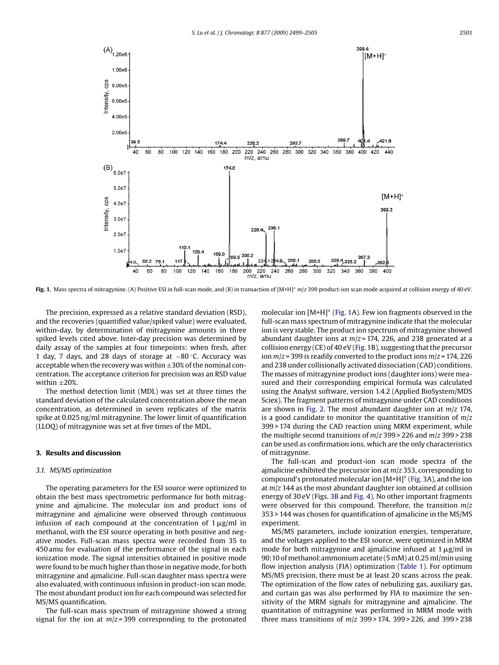<span id="page-2-0"></span>

**Fig. 1.** Mass spectra of mitragynine. (A) Positive ESI in full-scan mode, and (B) in transaction of [M+H]+ *m*/*z* 399 product-ion scan mode acquired at collision energy of 40 eV.

The precision, expressed as a relative standard deviation (RSD), and the recoveries (quantified value/spiked value) were evaluated, within-day, by determination of mitragynine amounts in three spiked levels cited above. Inter-day precision was determined by daily assay of the samples at four timepoints: when fresh, after 1 day, 7 days, and 28 days of storage at −80 ◦C. Accuracy was acceptable when the recovery was within  $\pm 30\%$  of the nominal concentration. The acceptance criterion for precision was an RSD value within  $\pm 20\%$ .

The method detection limit (MDL) was set at three times the standard deviation of the calculated concentration above the mean concentration, as determined in seven replicates of the matrix spike at 0.025 ng/ml mitragynine. The lower limit of quantification (LLOQ) of mitragynine was set at five times of the MDL.

## **3. Results and discussion**

## *3.1. MS/MS optimization*

The operating parameters for the ESI source were optimized to obtain the best mass spectrometric performance for both mitragynine and ajmalicine. The molecular ion and product ions of mitragynine and ajmalicine were observed through continuous infusion of each compound at the concentration of  $1\,\mu$ g/ml in methanol, with the ESI source operating in both positive and negative modes. Full-scan mass spectra were recorded from 35 to 450 amu for evaluation of the performance of the signal in each ionization mode. The signal intensities obtained in positive mode were found to be much higher than those in negative mode, for both mitragynine and ajmalicine. Full-scan daughter mass spectra were also evaluated, with continuous infusion in product-ion scan mode. The most abundant product ion for each compound was selected for MS/MS quantification.

The full-scan mass spectrum of mitragynine showed a strong signal for the ion at *m*/*z* = 399 corresponding to the protonated molecular ion  $[M+H]^+$  (Fig. 1A). Few ion fragments observed in the full-scan mass spectrum of mitragynine indicate that the molecular ion is very stable. The product ion spectrum of mitragynine showed abundant daughter ions at *m*/*z* = 174, 226, and 238 generated at a collision energy (CE) of 40 eV (Fig. 1B), suggesting that the precursor ion *m*/*z* = 399 is readily converted to the product ions *m*/*z* = 174, 226 and 238 under collisionally activated dissociation (CAD) conditions. The masses of mitragynine product ions (daughter ions) were measured and their corresponding empirical formula was calculated using the Analyst software, version 1.4.2 (Applied BioSystem/MDS Sciex). The fragment patterns of mitragynine under CAD conditions are shown in [Fig. 2.](#page-3-0) The most abundant daughter ion at *m*/*z* 174, is a good candidate to monitor the quantitative transition of *m*/*z* 399 > 174 during the CAD reaction using MRM experiment, while the multiple second transitions of *m*/*z* 399 > 226 and *m*/*z* 399 > 238 can be used as confirmation ions, which are the only characteristics of mitragynine.

The full-scan and product-ion scan mode spectra of the ajmalicine exhibited the precursor ion at *m*/*z* 353, corresponding to compound's protonated molecular ion [M+H]+ [\(Fig. 3A](#page-3-0)), and the ion at *m*/*z* 144 as the most abundant daughter ion obtained at collision energy of 30 eV (Figs. [3B](#page-3-0) and [Fig. 4\).](#page-4-0) No other important fragments were observed for this compound. Therefore, the transition *m*/*z* 353 > 144 was chosen for quantification of ajmalicine in the MS/MS experiment.

MS/MS parameters, include ionization energies, temperature, and the voltages applied to the ESI source, were optimized in MRM mode for both mitragynine and ajmalicine infused at  $1 \mu$ g/ml in 90:10 of methanol:ammonium acetate (5 mM) at 0.25 ml/min using flow injection analysis (FIA) optimization ([Table 1\).](#page-4-0) For optimum MS/MS precision, there must be at least 20 scans across the peak. The optimization of the flow rates of nebulizing gas, auxiliary gas, and curtain gas was also performed by FIA to maximize the sensitivity of the MRM signals for mitragynine and ajmalicine. The quantitation of mitragynine was performed in MRM mode with three mass transitions of *m*/*z* 399 > 174, 399 > 226, and 399 > 238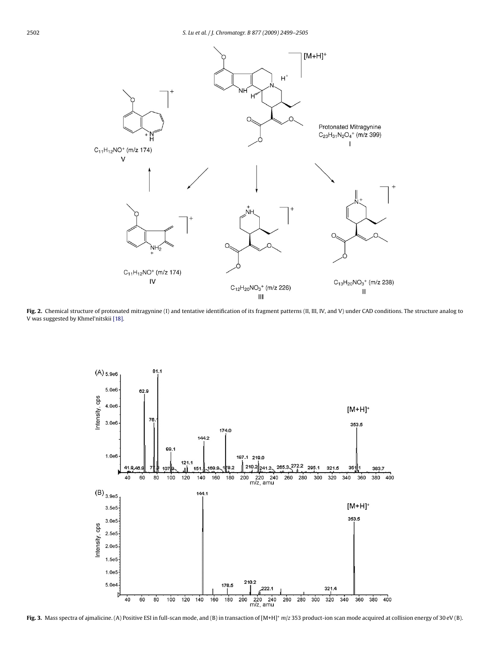<span id="page-3-0"></span>

Fig. 2. Chemical structure of protonated mitragynine (I) and tentative identification of its fragment patterns (II, III, IV, and V) under CAD conditions. The structure analog to V was suggested by Khmel'nitskii [\[18\].](#page-6-0)



**Fig. 3.** Mass spectra of ajmalicine. (A) Positive ESI in full-scan mode, and (B) in transaction of [M+H]+ *m*/*z* 353 product-ion scan mode acquired at collision energy of 30 eV (B).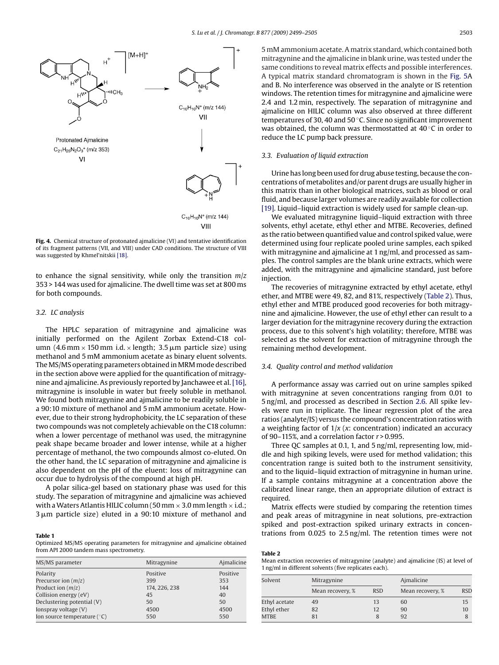<span id="page-4-0"></span>

**Fig. 4.** Chemical structure of protonated ajmalicine (VI) and tentative identification of its fragment patterns (VII, and VIII) under CAD conditions. The structure of VIII was suggested by Khmel'nitskii [\[18\].](#page-6-0)

to enhance the signal sensitivity, while only the transition *m*/*z* 353 > 144 was used for ajmalicine. The dwell time was set at 800 ms for both compounds.

## *3.2. LC analysis*

The HPLC separation of mitragynine and ajmalicine was initially performed on the Agilent Zorbax Extend-C18 column  $(4.6\,\text{mm} \times 150\,\text{mm}$  i.d.  $\times$  length;  $3.5\,\mu$ m particle size) using methanol and 5 mM ammonium acetate as binary eluent solvents. The MS/MS operating parameters obtained in MRM mode described in the section above were applied for the quantification of mitragynine and ajmalicine. As previously reported by Janchawee et al.[\[16\],](#page-6-0) mitragynine is insoluble in water but freely soluble in methanol. We found both mitragynine and ajmalicine to be readily soluble in a 90:10 mixture of methanol and 5 mM ammonium acetate. However, due to their strong hydrophobicity, the LC separation of these two compounds was not completely achievable on the C18 column: when a lower percentage of methanol was used, the mitragynine peak shape became broader and lower intense, while at a higher percentage of methanol, the two compounds almost co-eluted. On the other hand, the LC separation of mitragynine and ajmalicine is also dependent on the pH of the eluent: loss of mitragynine can occur due to hydrolysis of the compound at high pH.

A polar silica-gel based on stationary phase was used for this study. The separation of mitragynine and ajmalicine was achieved with a Waters Atlantis HILIC column (50 mm  $\times$  3.0 mm length  $\times$  i.d.;  $3\,\mu\mathrm{m}$  particle size) eluted in a 90:10 mixture of methanol and

#### **Table 1**

Optimized MS/MS operating parameters for mitragynine and ajmalicine obtained from API 2000 tandem mass spectrometry.

| MS/MS parameter               | Mitragynine   | Aimalicine |
|-------------------------------|---------------|------------|
| Polarity                      | Positive      | Positive   |
| Precursor ion $(m/z)$         | 399           | 353        |
| Product ion $(m/z)$           | 174, 226, 238 | 144        |
| Collision energy (eV)         | 45            | 40         |
| Declustering potential (V)    | 50            | 50         |
| Ionspray voltage (V)          | 4500          | 4500       |
| Ion source temperature $(°C)$ | 550           | 550        |

5 mM ammonium acetate. A matrix standard, which contained both mitragynine and the ajmalicine in blank urine, was tested under the same conditions to reveal matrix effects and possible interferences. A typical matrix standard chromatogram is shown in the [Fig. 5A](#page-5-0) and B. No interference was observed in the analyte or IS retention windows. The retention times for mitragynine and ajmalicine were 2.4 and 1.2 min, respectively. The separation of mitragynine and ajmalicine on HILIC column was also observed at three different temperatures of 30, 40 and 50 ◦C. Since no significant improvement was obtained, the column was thermostatted at 40 ℃ in order to reduce the LC pump back pressure.

## *3.3. Evaluation of liquid extraction*

Urine has long been used for drug abuse testing, because the concentrations of metabolites and/or parent drugs are usually higher in this matrix than in other biological matrices, such as blood or oral fluid, and because larger volumes are readily available for collection [\[19\]. L](#page-6-0)iquid–liquid extraction is widely used for sample clean-up.

We evaluated mitragynine liquid–liquid extraction with three solvents, ethyl acetate, ethyl ether and MTBE. Recoveries, defined as the ratio between quantified value and control spiked value, were determined using four replicate pooled urine samples, each spiked with mitragynine and ajmalicine at 1 ng/ml, and processed as samples. The control samples are the blank urine extracts, which were added, with the mitragynine and ajmalicine standard, just before injection.

The recoveries of mitragynine extracted by ethyl acetate, ethyl ether, and MTBE were 49, 82, and 81%, respectively (Table 2). Thus, ethyl ether and MTBE produced good recoveries for both mitragynine and ajmalicine. However, the use of ethyl ether can result to a larger deviation for the mitragynine recovery during the extraction process, due to this solvent's high volatility; therefore, MTBE was selected as the solvent for extraction of mitragynine through the remaining method development.

### *3.4. Quality control and method validation*

A performance assay was carried out on urine samples spiked with mitragynine at seven concentrations ranging from 0.01 to 5 ng/ml, and processed as described in Section [2.6. A](#page-1-0)ll spike levels were run in triplicate. The linear regression plot of the area ratios (analyte/IS) versus the compound's concentration ratios with a weighting factor of 1/*x* (*x*: concentration) indicated an accuracy of 90–115%, and a correlation factor *r* > 0.995.

Three QC samples at 0.1, 1, and 5 ng/ml, representing low, middle and high spiking levels, were used for method validation; this concentration range is suited both to the instrument sensitivity, and to the liquid–liquid extraction of mitragynine in human urine. If a sample contains mitragynine at a concentration above the calibrated linear range, then an appropriate dilution of extract is required.

Matrix effects were studied by comparing the retention times and peak areas of mitragynine in neat solutions, pre-extraction spiked and post-extraction spiked urinary extracts in concentrations from 0.025 to 2.5 ng/ml. The retention times were not

|--|--|

Mean extraction recoveries of mitragynine (analyte) and ajmalicine (IS) at level of 1 ng/ml in different solvents (five replicates each).

| Solvent       | Mitragynine      |            | Aimalicine       |            |  |
|---------------|------------------|------------|------------------|------------|--|
|               | Mean recovery, % | <b>RSD</b> | Mean recovery, % | <b>RSD</b> |  |
| Ethyl acetate | 49               | 13         | 60               | 15         |  |
| Ethyl ether   | 82               | 12         | 90               | 10         |  |
| <b>MTBE</b>   |                  |            | 92               |            |  |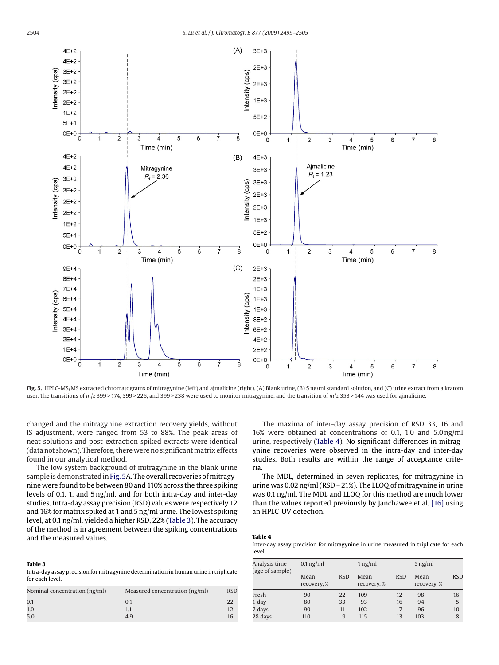<span id="page-5-0"></span>

**Fig. 5.** HPLC-MS/MS extracted chromatograms of mitragynine (left) and ajmalicine (right). (A) Blank urine, (B) 5 ng/ml standard solution, and (C) urine extract from a kratom user. The transitions of *m*/*z* 399 > 174, 399 > 226, and 399 > 238 were used to monitor mitragynine, and the transition of *m*/*z* 353 > 144 was used for ajmalicine.

changed and the mitragynine extraction recovery yields, without IS adjustment, were ranged from 53 to 88%. The peak areas of neat solutions and post-extraction spiked extracts were identical (data not shown). Therefore, there were no significant matrix effects found in our analytical method.

The low system background of mitragynine in the blank urine sample is demonstrated in Fig. 5A. The overall recoveries of mitragynine were found to be between 80 and 110% across the three spiking levels of 0.1, 1, and 5 ng/ml, and for both intra-day and inter-day studies. Intra-day assay precision (RSD) values were respectively 12 and 16% for matrix spiked at 1 and 5 ng/ml urine. The lowest spiking level, at 0.1 ng/ml, yielded a higher RSD, 22% (Table 3). The accuracy of the method is in agreement between the spiking concentrations and the measured values.

## 16% were obtained at concentrations of 0.1, 1.0 and 5.0 ng/ml urine, respectively (Table 4). No significant differences in mitragynine recoveries were observed in the intra-day and inter-day studies. Both results are within the range of acceptance criteria.

The maxima of inter-day assay precision of RSD 33, 16 and

The MDL, determined in seven replicates, for mitragynine in urine was 0.02 ng/ml (RSD = 21%). The LLOQ of mitragynine in urine was 0.1 ng/ml. The MDL and LLOQ for this method are much lower than the values reported previously by Janchawee et al. [\[16\]](#page-6-0) using an HPLC-UV detection.

#### **Table 4**

Inter-day assay precision for mitragynine in urine measured in triplicate for each level.

| Analysis time<br>(age of sample) | $0.1$ ng/ml         |            | $1$ ng/ml           |            | $5$ ng/ml           |            |
|----------------------------------|---------------------|------------|---------------------|------------|---------------------|------------|
|                                  | Mean<br>recovery, % | <b>RSD</b> | Mean<br>recovery, % | <b>RSD</b> | Mean<br>recovery, % | <b>RSD</b> |
| Fresh                            | 90                  | 22         | 109                 | 12         | 98                  | 16         |
| 1 day                            | 80                  | 33         | 93                  | 16         | 94                  | 5          |
| 7 days                           | 90                  | 11         | 102                 |            | 96                  | 10         |
| 28 days                          | 110                 | 9          | 115                 | 13         | 103                 | 8          |

Intra-day assay precision for mitragynine determination in human urine in triplicate for each level.

**Table 3**

| Nominal concentration (ng/ml) | Measured concentration (ng/ml) | <b>RSD</b> |
|-------------------------------|--------------------------------|------------|
| 0.1                           | 0.1                            | 22         |
| 1.0                           | 1.1                            | 12         |
| 5.0                           | 4.9                            | 16         |